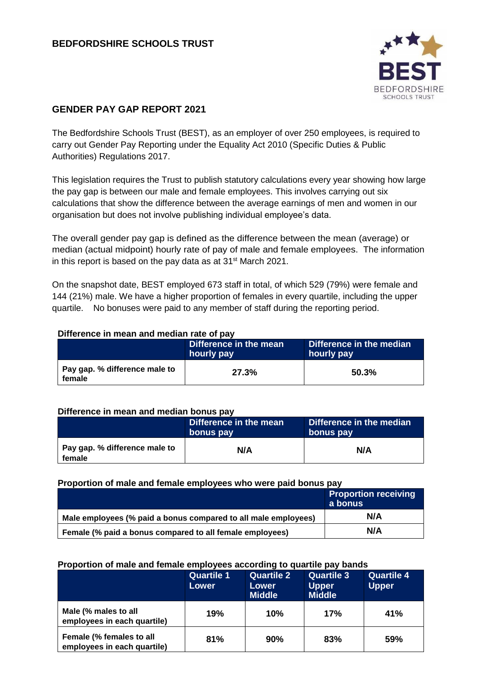

# **GENDER PAY GAP REPORT 2021**

The Bedfordshire Schools Trust (BEST), as an employer of over 250 employees, is required to carry out Gender Pay Reporting under the Equality Act 2010 (Specific Duties & Public Authorities) Regulations 2017.

This legislation requires the Trust to publish statutory calculations every year showing how large the pay gap is between our male and female employees. This involves carrying out six calculations that show the difference between the average earnings of men and women in our organisation but does not involve publishing individual employee's data.

The overall gender pay gap is defined as the difference between the mean (average) or median (actual midpoint) hourly rate of pay of male and female employees. The information in this report is based on the pay data as at 31<sup>st</sup> March 2021.

On the snapshot date, BEST employed 673 staff in total, of which 529 (79%) were female and 144 (21%) male. We have a higher proportion of females in every quartile, including the upper quartile. No bonuses were paid to any member of staff during the reporting period.

### **Difference in mean and median rate of pay**

|                                         | Difference in the mean<br>hourly pay | Difference in the median<br>hourly pay |  |
|-----------------------------------------|--------------------------------------|----------------------------------------|--|
| Pay gap. % difference male to<br>female | 27.3%                                | 50.3%                                  |  |

### **Difference in mean and median bonus pay**

|                                         | Difference in the mean<br>bonus pay | Difference in the median<br>bonus pay |  |  |
|-----------------------------------------|-------------------------------------|---------------------------------------|--|--|
| Pay gap. % difference male to<br>female | N/A                                 | N/A                                   |  |  |

### **Proportion of male and female employees who were paid bonus pay**

|                                                                | <b>Proportion receiving</b><br>a bonus |
|----------------------------------------------------------------|----------------------------------------|
| Male employees (% paid a bonus compared to all male employees) | N/A                                    |
| Female (% paid a bonus compared to all female employees)       | N/A                                    |

### **Proportion of male and female employees according to quartile pay bands**

|                                                         | <b>Quartile 1</b><br>Lower | <b>Quartile 2</b><br>Lower<br><b>Middle</b> | <b>Quartile 3</b><br><b>Upper</b><br><b>Middle</b> | <b>Quartile 4</b><br><b>Upper</b> |
|---------------------------------------------------------|----------------------------|---------------------------------------------|----------------------------------------------------|-----------------------------------|
| Male (% males to all<br>employees in each quartile)     | 19%                        | 10%                                         | 17%                                                | 41%                               |
| Female (% females to all<br>employees in each quartile) | 81%                        | 90%                                         | 83%                                                | 59%                               |